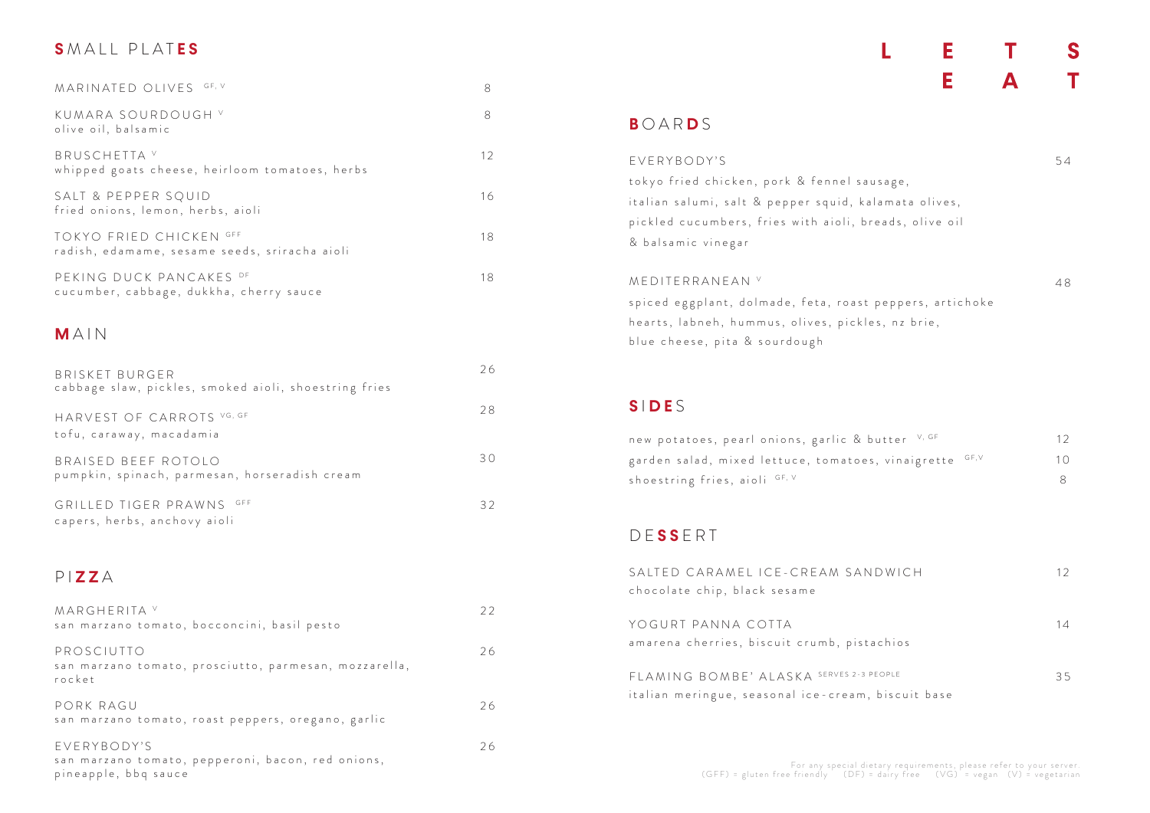## **S** MALL PLAT **E S**

# D E **S S** ERT SALTED CARAMEL ICE-CREAM SAN chocolate chip, black sesame YOGURT PANNA COTTA amarena cherries, biscuit crumb, pist FLAMING BOMBE' ALASKA SERVES 2-3 shoestring fries, aioli GF, V

## **B** OAR **D** S

**S** I **D E** S

#### Е S E T  $\blacktriangle$

L

#### P I **Z Z** A

& balsamic vinegar

MEDITERRANEAN V

blue cheese, pita & sourdough

| 8<br>8<br>olive oil, balsamic<br>12<br>whipped goats cheese, heirloom tomatoes, herbs<br>16<br>18<br>radish, edamame, sesame seeds, sriracha aioli<br>18<br>cucumber, cabbage, dukkha, cherry sauce<br>26<br><b>BRISKET BURGER</b><br>cabbage slaw, pickles, smoked aioli, shoestring fries<br>28<br>30<br>pumpkin, spinach, parmesan, horseradish cream<br>GRILLED TIGER PRAWNS GFF<br>32 |                                                          |  |
|--------------------------------------------------------------------------------------------------------------------------------------------------------------------------------------------------------------------------------------------------------------------------------------------------------------------------------------------------------------------------------------------|----------------------------------------------------------|--|
|                                                                                                                                                                                                                                                                                                                                                                                            | MARINATED OLIVES GF, V                                   |  |
|                                                                                                                                                                                                                                                                                                                                                                                            | KUMARA SOURDOUGH V                                       |  |
|                                                                                                                                                                                                                                                                                                                                                                                            | BRUSCHETTA V                                             |  |
|                                                                                                                                                                                                                                                                                                                                                                                            | SALT & PEPPER SQUID<br>fried onions, lemon, herbs, aioli |  |
|                                                                                                                                                                                                                                                                                                                                                                                            | TOKYO FRIED CHICKEN GFF                                  |  |
|                                                                                                                                                                                                                                                                                                                                                                                            | PEKING DUCK PANCAKES DF                                  |  |
|                                                                                                                                                                                                                                                                                                                                                                                            | MAIN                                                     |  |
|                                                                                                                                                                                                                                                                                                                                                                                            |                                                          |  |
|                                                                                                                                                                                                                                                                                                                                                                                            | HARVEST OF CARROTS VG, GF<br>tofu, caraway, macadamia    |  |
|                                                                                                                                                                                                                                                                                                                                                                                            | BRAISED BEEF ROTOLO                                      |  |
|                                                                                                                                                                                                                                                                                                                                                                                            | capers, herbs, anchovy aioli                             |  |
|                                                                                                                                                                                                                                                                                                                                                                                            |                                                          |  |

italian meringue, seasonal ice-cream, biscuit base

| EVERYBODY'S                                            | 54 |
|--------------------------------------------------------|----|
| tokyo fried chicken, pork & fennel sausage,            |    |
| italian salumi, salt & pepper squid, kalamata olives,  |    |
| pickled cucumbers, fries with aioli, breads, olive oil |    |
|                                                        |    |

| MEDITERRANEAN <sup>v</sup>                               | 48 |
|----------------------------------------------------------|----|
| spiced eggplant, dolmade, feta, roast peppers, artichoke |    |
| hearts, labneh, hummus, olives, pickles, nz brie,        |    |

| new potatoes, pearl onions, garlic & butter V, GF       | 12 |
|---------------------------------------------------------|----|
| garden salad, mixed lettuce, tomatoes, vinaigrette GF,V | 10 |
| shoestring fries, aioli GF. V                           |    |

| MARGHERITA <sup>V</sup><br>san marzano tomato, bocconcini, basil pesto                   | 22 |
|------------------------------------------------------------------------------------------|----|
| PROSCIUTTO<br>san marzano tomato, prosciutto, parmesan, mozzarella,<br>rocket            | 26 |
| PORK RAGU<br>san marzano tomato, roast peppers, oregano, garlic                          | 26 |
| EVERYBODY'S<br>san marzano tomato, pepperoni, bacon, red onions,<br>pineapple, bbq sauce | 26 |

| <b>JDWICH</b> | 12 |
|---------------|----|
| achios        | 14 |
| PEOPLE        | 35 |